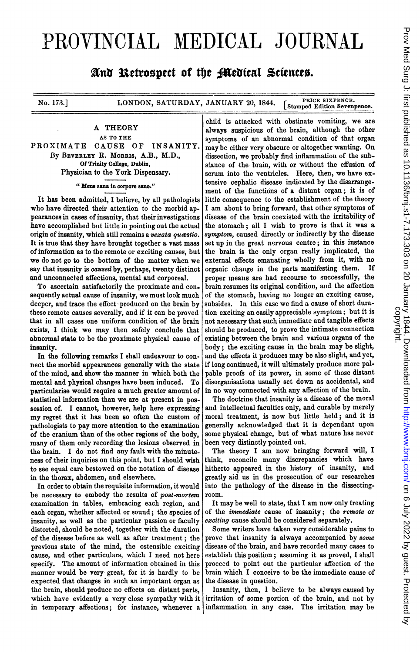# PROVINCIAL MEDICAL JOURNAL

# And Retrospect of the Medical Sciences.

No. 173.]

LONDON, SATURDAY, JANUARY 20, 1844. [Stamped Edition Sevenpence.

### A THEORY

AS TO THE PROXIMATE CAUSE OF INSANITY. By BEVERLEY R. MORRIS, A.B., M.D., Of Trinity College, Dublin, Physician to the York Dispensary.

" Mens sana in corpore sano."

It has been admitted, <sup>I</sup> believe, by all pathologists who have directed their attention to the morbid appearances in cases of insanity, that their investigations have accomplished but little in pointing out the actual origin of insanity, which still remains a vexata quæstio. It is true that they have brought together a vast mass of information as to the remote or exciting causes, but we do not go to the bottom of the matter when we say that insanity is caused by, perhaps, twenty distinct and unconnected affections, mental and corporeal.

To ascertain satisfactorily the proximate and con. sequently actual cause of insanity, we must look much deeper, and trace the effect produced on the brain by these remote causes severally, and if it can be proved that in all cases one uniform condition of the brain exists, <sup>I</sup> think we may then safely conclude that abnormal state to be the proximate physical cause of insanity.

In the following remarks <sup>I</sup> shall endeavour to connect the morbid appearances generally with the state of the mind, and show the manner in which both the mental and physical changes have been induced. To particularise would require a much greater amount of statistical information than we are at present in possession of. I cannot, however, help here expressing my regret that it has been so often the custom of pathologists to pay more attention to the examination of the cranium than of the other regions of the body, many of them only recording the lesions observed in the brain. I do not find any fault with the minuteness of their inquiries on this point, but <sup>I</sup> should wish to see equal care bestowed on the notation of disease in the thorax, abdomen, and elsewhere.

In order to obtain the requisite information, it would be necessary to embody the results of post-mortem examination in tables, embracing each region, and each organ, whether affected or sound; the species of insanity, as well as the particular passion or faculty distorted, should be noted, together with the duration of the disease before as well as after treatment; the previous state of the mind, the ostensible exciting cause, and other particulars, which I need not here specify. The amount of information obtained in this manner would be very great, for it is hardly to be expected that changes in such an important organ as the brain, should produce no effects on distant parts, which have evidently a very close sympathy with it in temporary affections; for instance, whenever a

child is attacked with obstinate vomiting, we are always suspicious of the brain, although the other symptoms of an abnormal condition of that organ maybe either very obscure or altogether wanting. On dissection, we probably find inflammation of the substance of the brain, with or without the effusion of serum into the ventricles. Here, then, we have extensive cephalic disease indicated by the disarrangement of the functions of a distant organ; it is of little consequence to the establishment of the theory <sup>I</sup> am about to bring forward, that other symptoms of disease of the brain coexisted with the irritability of the stomach; all <sup>I</sup> wish to prove is that it was a symptom, caused directly or indirectly by the disease set up in the great nervous centre; in this instance the brain is the only organ really implicated, the external effects emanating wholly from it, with no organic change in the parts manifesting them. If proper means are had recourse to successfully, the brain resumes its original condition, and the affection of the stomach, having no longer an exciting cause, subsides. In this case we find a cause of short duration exciting an easily appreciable symptom; but it is not necessary that such immediate and tangible effects should be produced, to prove the intimate connection existing between the brain and various organs of the body; the exciting cause in the brain may be slight, and the effects it produces may be also slight, and yet, if long continued, it will ultimately produce more palpable proofs of its power, in some of those distant disorganisations usually set down as accidental, and in no way connected with any affection of the brain.

The doctrine that insanity is a disease of the moral and intellectual faculties only, and curable by merely moral treatment, is now but little held; and it is generally acknowledged that it is dependant upon some physical change, but of what nature has never been very distinctly pointed out.

The theory <sup>I</sup> am now bringing forward will, <sup>I</sup> think, reconcile many discrepancies which have hitherto appeared in the history of insanity, and greatly aid us in the prosecution of our researches into the pathology of the disease in the dissectingroom.

It may be well to state, that <sup>I</sup> am now only treating of the immediate cause of insanity; the remote or exciting cause should be considered separately.

Some writers have taken very considerable pains to prove that insanity is always accompanied by some disease of the brain, and have recorded many cases to establish this position; assuming it as proved, I shall proceed to point out the particular affection of the brain which I conceive to be the immediate cause of the disease in question.

Insanity, then, <sup>1</sup> believe to be always caused by irritation of some portion of the brain, and not by inflammation in any case. The irritation may be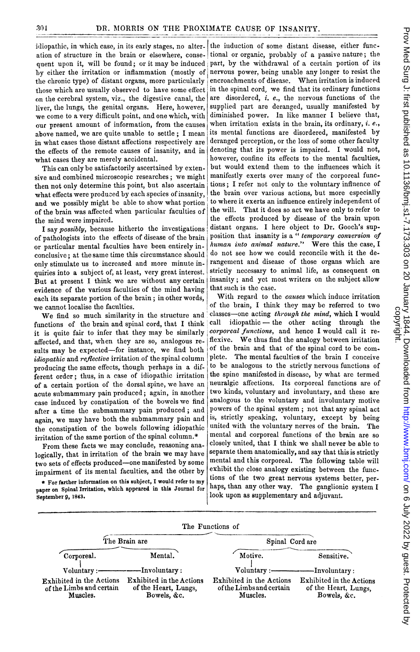idiopathic, in which case, in its early stages, no alter- | the induction of some distant disease, either funcliver, the lungs, the genital organs. Here, however, we come to a very difficult point, and one which, with our present amount of iinformation, from the causes above named, we are quite unable to settle; <sup>I</sup> mean in what cases those distant affections respectively are the effects of the remote causes of insanity, and in what cases they are merely accidental.

This can only be satisfactorily ascertained by extensive and combined microscopic researches; we might then not only determine this point, but also ascertain what effects were produced by each species of insanity, and we possibly might be able to show what portion of the brain was affected when particular faculties of the mind were impaired.

I say possibly, because hitherto the investigations of pathologists into the effects of disease of the brain or particular mental faculties have been entirely inconclusive; at the same time this circumstance should only stimulate us to increased and more minute inquiries into a subject of, at least, very great interest. But at present <sup>I</sup> think we are without any certain evidence of the various faculties of the mind having each its separate portion of the brain; in other words, we cannot localise the faculties.

We find so much similarity in the structure and functions of the brain and spinal cord, that <sup>I</sup> think it is quite fair to infer that they may be similarly affected, and that, when they are so, analogous results may be expected-for instance, we find both idiopathic and reflective irritation of the spinal column producing the same effects, though perhaps in a different order; thus, in a case of idiopathic irritation of a certain portion of the dorsal spine, we have an acute submammary pain produced; again, in another case induced by constipation of the bowels we find after a time the submammary pain produced; and again, we may have both the submammary pain and the constipation of the bowvels following idiopathic irritation of the same portion of the spinal column.\*

From these facts we may conclude, reasoning analogically, that in irritation of the brain we may have two sets of effects produced-one manifested by some impairment of its mental faculties, and the other by

\* For farther information on this subject, <sup>I</sup> would refer to my paper on Spinal Irritation, which appeared in this Journal for September 9, 1843.

ation of structure in the brain or elsewhere, conse-|tional or organic, probably of a passive nature; the quent upon it, wvill be found; or it may be induced part, by the withdrawal of a certain portion of its by either the irritation or inflammation (mostly of nervous power, being unable any longer to resist the the cllronic type) of distant organs, more particularly encroachments of disease. When irritation is induced those which are usually observed to have some effect in the spinal cord, we find that its ordinary functions on the cerebral system, viz., the digestive canal, the are disordered, i. e., the nervous functions of the supplied part are deranged, usually manifested by diminished power. In like manner <sup>I</sup> believe that, when irritation exists in the brain, its ordinary, i. e., its mental functions are disordered, manifested by deranged perception, or the loss of some other faculty denoting that its power is impaired. <sup>I</sup> would not, however, confine its effects to the mental faculties, but would extend them to the influences which it manifestly exerts over many of the corporeal functions; I refer not only to the voluntary influence of the brain over various actions, but more especially to where it exerts an influence entirely independent of the will. That it does so act we have only to refer to the effects produced by disease of the brain upon distant organs. <sup>I</sup> here object to Dr. Gooch's supposition that insanity is a " temporary conversion of human into animal nature." Were this the case, I do not see how we could reconcile with it the derangement and disease of those organs which are strictly necessary to animal life, as consequent on insanity; and yet most writers on the subject allow that such is the case.

> With regard to the causes which induce irritation of the brain, <sup>I</sup> think they may be referred to tvo classes-one acting through the mind, which I would call idiopathic - the other acting through the corporeal functions, and hence I would call it reflexive. We thus find the analogy between irritation of the brain and that of the spinal cord to be complete. The mental faculties of the brain <sup>I</sup> conceive to be analogous to the strictly nervous functions of the spine manifested in disease, by what are termed neuralgie affections. Its corporeal functions are of two kinds, voluntary and involuntary, and these are analogous to the voluntary and involuntary motive powers of the spinal system; not that any spinal act is, strictly speaking, voluntary, except by being united with the voluntary nerves of the brain. The menital and corporeal functions of the brain are so closely united, that <sup>I</sup> think we shall never be able to separate them anatomically, and say that this is strictly mental and this corporeal. The following table will exhibit the close analogy existing between the functions of the two great nervous systems better, perhaps, than any other way. The ganglionic system <sup>I</sup> look upon as supplementary and adjuvant.

| The Functions of         |                                 |                          |                          |
|--------------------------|---------------------------------|--------------------------|--------------------------|
| The Brain are            |                                 | Spinal Cord are          |                          |
| Corporeal.               | Mental.                         | Motive.                  | Sensitive.               |
|                          |                                 |                          | ---Involuntary:          |
| Exhibited in the Actions | <b>Exhibited in the Actions</b> | Exhibited in the Actions | Exhibited in the Actions |
| of the Limbs and certain | of the Heart, Lungs.            | of the Limbs and certain | of the Heart, Lungs.     |
| Muscles.                 | Bowels, &c.                     | Muscles.                 | Bowels, &c.              |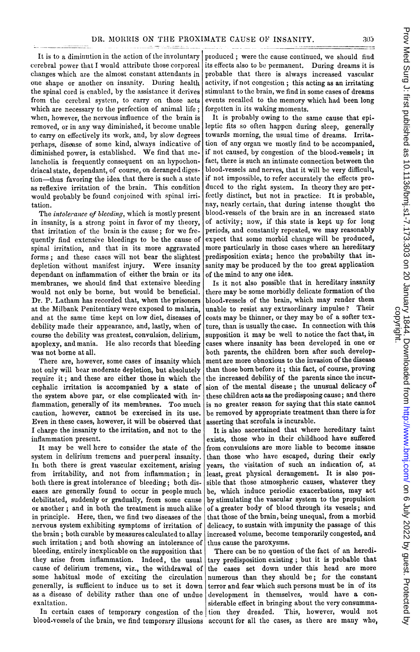It is to a diminution in the action of the involuntary cerebral power that I would attribute those corporeal changes which are the almost constant attendants in one shape or another on insanity. During health the spinal cord is enabled, by the assistance it derives from the cerebral system, to carry on those acts which are necessary to the perfection of animal life; when, however, the nervous influence of the brain is removed, or in any way diminished, it become unable to carry on effectively its work, and, by slow degrees perhaps, disease of some kind, always indicative of diminished power, is established. We find that melancholia is frequently consequent on an hypochondriacal state, dependant, of course, on deranged diges- <sup>1</sup> tion-thus favoring the idea that there is such a state as reflexive irritation of the brain. This condition would probably be found conjoined with spinal irritation.

The intolerance of bleeding, which is mostly present in insanity, is a strong point in favor of my theory, that irritation of the brain is the cause; for we frequently find extensive bleedings to be the cause of spinal irritation, and that in its more aggravated forms; and these cases will not bear the slightest depletion without manifest injury. Were insanity dependant on inflammation of either the brain or its membranes, we should find that extensive bleeding would not only be borne, but would be beneficial. Dr. P. Latham has recorded that, when the prisoners at the Milbank Penitentiary were exposed to malaria. and at the same time kept on low diet, diseases of ( debility made their appearance, and, lastly, when of course the debility was greatest, convulsion, delirium, apoplexy, andmania. He also records that bleeding was not borne at all.

There are, however, some cases of insanity which not only will bear inoderate depletion, but absolutely require it; and these are either those in which the cephalic irritation is accompanied by a state of the system above par, or else complicated with inflammation, generally of its membranes. Too much caution, however, cannot be exercised in its use. Even in these cases, however, it will be observed that I charge the insanity to the irritation, and not to the inflammation present.

It may be well here to consider the state of the system in delirium tremens and puerperal insanity. In both there is great vascular excitement, arising from irritability, and not from inflammation; in both there is great intolerance of bleeding; both diseases are generally found to occur in people much debilitated, suddenly or gradually, from some cause or another; and in both the treatment is much alike in principle. Here, then, we find two diseases of the nervous system exhibiting symptoms of irritation of the brain; both curable by measures calculated to allay such irritation; and both showing an intolerance of bleeding, entirely inexplicable on the supposition that they arise from inflammation. Indeed, the usual cause of delirium tremens, viz., the withdrawal of some habitual mode of exciting the circulation generally, is sufficient to induce us to set it down as a disease of debility rather than one of undue exaltation.

In certain cases of temporary congestion of the tion they dreaded. blood-vessels of the brain, we find temporary illusions account for all the cases, as there are many who,

produced; were the cause continued, we should find its effects also to be permanent. During dreams it is probable that there is always increased vascular activity, if not congestion; this acting as an irritating stimulant to the brain, we find in some cases of dreams events recalled to the memory which had been long forgotten in its waking moments.

It is probably owing to the same cause that epileptic fits so often happen during sleep, generally towards morning, the usual time of dreams. Irritation of any organ we mostly find to be accompanied, if not caused, by congestion of the blood-vessels; in fact, there is such an intimate connection between the blood-vessels and nerves, that it will be very difficult, if not impossible, to refer accurately the effects produced to the right system. In theory they are perfectly distinct, but not in practice. It is probable, nay, nearly certain, that during intense thought the blood-vessels of the brain are in an increased state of activity; now, if this state is kept up for long periods, and constantly repeated, we may reasonably expect that some morbid change will be produced, more particularly in those cases where an hereditary predisposition exists; hence the probabilty that insanity may be produced by the too great application of the mind to any one idea.

Is it not also possible that in hereditary insanity there may be some morbidly delicate formation of the blood-vessels of the brain, which may render them unable to resist any extraordinary impulse ? Their coats may be thinner, or they may be of <sup>a</sup> softer texture, than is usually the case. In connection with this supposition it may be well to notice the fact that, in cases where insanity has been developed in one or both parents, the children born after such development are more obnoxious to the invasion of the disease than those born before it; this fact, of course, proving the increased debility of the parents since the incursion of the mental disease; the unusual delicacy of these children acts as the predisposing cause; and there is no greater reason for saying that this state cannot be removed by appropriate treatment than there is for asserting that scrofula is incurable.

It is also ascertained that where hereditary taint exists, those who in their childhood have suffered from convulsions are more liable to become insane than those who have escaped, during their early years, the visitation of such an indication of, at least, great physical derangement. It is also possible that those atmospheric causes, whatever they be, wlhich induce periodic exacerbations, may act by stimulating the vascular system to the propulsion of <sup>a</sup> greater body of blood through its vessels; and that those of the brain, being unequal, from a morbid delicacy, to sustain with impunity the passage of this increased volume, become temporarily congested, and thus cause the paroxysms.

There can be no question of the fact of an hereditary predisposition existing ; but it is probable that the cases set down under this head are more numerous than they should be; for the constant terror and fear which such persons must be in of its development in themselves, would have <sup>a</sup> considerable effect in bringing about the very consumma-This, however, would not